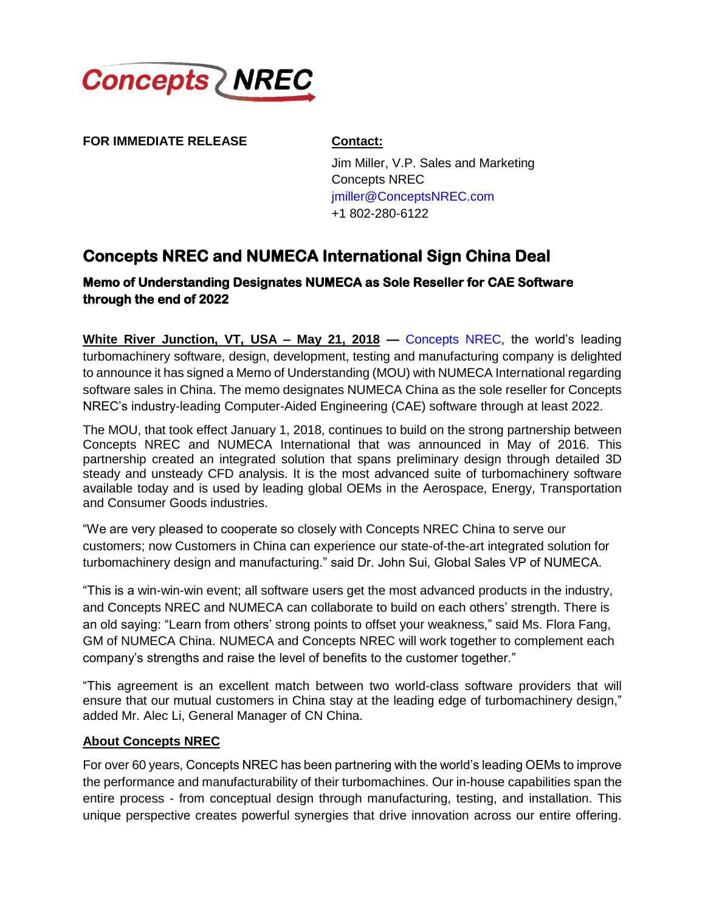

**FOR IMMEDIATE RELEASE Contact:**

Jim Miller, V.P. Sales and Marketing Concepts NREC [jmiller@ConceptsNREC.com](mailto:jmiller@ConceptsNREC.com) +1 802-280-6122

## **Concepts NREC and NUMECA International Sign China Deal**

## **Memo of Understanding Designates NUMECA as Sole Reseller for CAE Software through the end of 2022**

**White River Junction, VT, USA – May 21, 2018 —** [Concepts](http://www.conceptsnrec.com/) NREC, the world's leading turbomachinery software, design, development, testing and manufacturing company is delighted to announce it has signed a Memo of Understanding (MOU) with NUMECA International regarding software sales in China. The memo designates NUMECA China as the sole reseller for Concepts NREC's industry-leading Computer-Aided Engineering (CAE) software through at least 2022.

The MOU, that took effect January 1, 2018, continues to build on the strong partnership between Concepts NREC and NUMECA International that was announced in May of 2016. This partnership created an integrated solution that spans preliminary design through detailed 3D steady and unsteady CFD analysis. It is the most advanced suite of turbomachinery software available today and is used by leading global OEMs in the Aerospace, Energy, Transportation and Consumer Goods industries.

"We are very pleased to cooperate so closely with Concepts NREC China to serve our customers; now Customers in China can experience our state-of-the-art integrated solution for turbomachinery design and manufacturing." said Dr. John Sui, Global Sales VP of NUMECA.

"This is a win-win-win event; all software users get the most advanced products in the industry, and Concepts NREC and NUMECA can collaborate to build on each others' strength. There is an old saying: ["Learn](file:///C:/Users/Alec%20Li/AppData/Local/Youdao/Dict/Application/7.5.2.0/resultui/dict/) [from](file:///C:/Users/Alec%20Li/AppData/Local/Youdao/Dict/Application/7.5.2.0/resultui/dict/) [others'](file:///C:/Users/Alec%20Li/AppData/Local/Youdao/Dict/Application/7.5.2.0/resultui/dict/) [strong](file:///C:/Users/Alec%20Li/AppData/Local/Youdao/Dict/Application/7.5.2.0/resultui/dict/) [points](file:///C:/Users/Alec%20Li/AppData/Local/Youdao/Dict/Application/7.5.2.0/resultui/dict/) [to](file:///C:/Users/Alec%20Li/AppData/Local/Youdao/Dict/Application/7.5.2.0/resultui/dict/) [offset](file:///C:/Users/Alec%20Li/AppData/Local/Youdao/Dict/Application/7.5.2.0/resultui/dict/) [your](file:///C:/Users/Alec%20Li/AppData/Local/Youdao/Dict/Application/7.5.2.0/resultui/dict/) [weakness,](file:///C:/Users/Alec%20Li/AppData/Local/Youdao/Dict/Application/7.5.2.0/resultui/dict/)" said Ms. Flora Fang, GM of NUMECA China. NUMECA and Concepts NREC will work together to complement each company's strengths and raise the level of benefits to the customer together."

"This agreement is an excellent match between two world-class software providers that will ensure that our mutual customers in China stay at the leading edge of turbomachinery design," added Mr. Alec Li, General Manager of CN China.

## **About Concepts NREC**

For over 60 years, Concepts NREC has been partnering with the world's leading OEMs to improve the performance and manufacturability of their turbomachines. Our in-house capabilities span the entire process - from conceptual design through manufacturing, testing, and installation. This unique perspective creates powerful synergies that drive innovation across our entire offering.